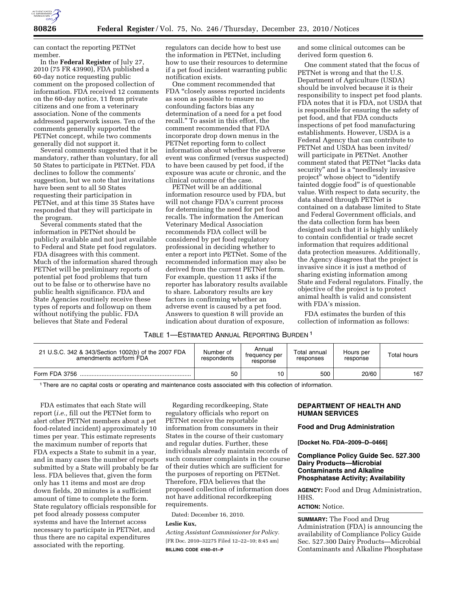

can contact the reporting PETNet member.

In the **Federal Register** of July 27, 2010 (75 FR 43990), FDA published a 60-day notice requesting public comment on the proposed collection of information. FDA received 12 comments on the 60-day notice, 11 from private citizens and one from a veterinary association. None of the comments addressed paperwork issues. Ten of the comments generally supported the PETNet concept, while two comments generally did not support it.

Several comments suggested that it be mandatory, rather than voluntary, for all 50 States to participate in PETNet. FDA declines to follow the comments' suggestion, but we note that invitations have been sent to all 50 States requesting their participation in PETNet, and at this time 35 States have responded that they will participate in the program.

Several comments stated that the information in PETNet should be publicly available and not just available to Federal and State pet food regulators. FDA disagrees with this comment. Much of the information shared through PETNet will be preliminary reports of potential pet food problems that turn out to be false or to otherwise have no public health significance. FDA and State Agencies routinely receive these types of reports and followup on them without notifying the public. FDA believes that State and Federal

regulators can decide how to best use the information in PETNet, including how to use their resources to determine if a pet food incident warranting public notification exists.

One comment recommended that FDA "closely assess reported incidents" as soon as possible to ensure no confounding factors bias any determination of a need for a pet food recall.'' To assist in this effort, the comment recommended that FDA incorporate drop down menus in the PETNet reporting form to collect information about whether the adverse event was confirmed (versus suspected) to have been caused by pet food, if the exposure was acute or chronic, and the clinical outcome of the case.

PETNet will be an additional information resource used by FDA, but will not change FDA's current process for determining the need for pet food recalls. The information the American Veterinary Medical Association recommends FDA collect will be considered by pet food regulatory professional in deciding whether to enter a report into PETNet. Some of the recommended information may also be derived from the current PETNet form. For example, question 11 asks if the reporter has laboratory results available to share. Laboratory results are key factors in confirming whether an adverse event is caused by a pet food. Answers to question 8 will provide an indication about duration of exposure,

and some clinical outcomes can be derived form question 6.

One comment stated that the focus of PETNet is wrong and that the U.S. Department of Agriculture (USDA) should be involved because it is their responsibility to inspect pet food plants. FDA notes that it is FDA, not USDA that is responsible for ensuring the safety of pet food, and that FDA conducts inspections of pet food manufacturing establishments. However, USDA is a Federal Agency that can contribute to PETNet and USDA has been invited/ will participate in PETNet. Another comment stated that PETNet ''lacks data security'' and is a ''needlessly invasive project" whose object to "identify tainted doggie food'' is of questionable value. With respect to data security, the data shared through PETNet is contained on a database limited to State and Federal Government officials, and the data collection form has been designed such that it is highly unlikely to contain confidential or trade secret information that requires additional data protection measures. Additionally, the Agency disagrees that the project is invasive since it is just a method of sharing existing information among State and Federal regulators. Finally, the objective of the project is to protect animal health is valid and consistent with FDA's mission.

FDA estimates the burden of this collection of information as follows:

# TABLE 1—ESTIMATED ANNUAL REPORTING BURDEN 1

| 21 U.S.C. 342 & 343/Section 1002(b) of the 2007 FDA<br>amendments act/form FDA | Number of<br>respondents | Annual<br>trequency per<br>response | Total annual<br>responses | Hours per<br>response | Total hours |
|--------------------------------------------------------------------------------|--------------------------|-------------------------------------|---------------------------|-----------------------|-------------|
| Form FDA 3756                                                                  | 50                       | 10                                  | 500                       | 20/60                 | 167         |

1There are no capital costs or operating and maintenance costs associated with this collection of information.

FDA estimates that each State will report (*i.e.,* fill out the PETNet form to alert other PETNet members about a pet food-related incident) approximately 10 times per year. This estimate represents the maximum number of reports that FDA expects a State to submit in a year, and in many cases the number of reports submitted by a State will probably be far less. FDA believes that, given the form only has 11 items and most are drop down fields, 20 minutes is a sufficient amount of time to complete the form. State regulatory officials responsible for pet food already possess computer systems and have the Internet access necessary to participate in PETNet, and thus there are no capital expenditures associated with the reporting.

Regarding recordkeeping, State regulatory officials who report on PETNet receive the reportable information from consumers in their States in the course of their customary and regular duties. Further, these individuals already maintain records of such consumer complaints in the course of their duties which are sufficient for the purposes of reporting on PETNet. Therefore, FDA believes that the proposed collection of information does not have additional recordkeeping requirements.

Dated: December 16, 2010.

#### **Leslie Kux,**

*Acting Assistant Commissioner for Policy.*  [FR Doc. 2010–32275 Filed 12–22–10; 8:45 am] **BILLING CODE 4160–01–P** 

# **DEPARTMENT OF HEALTH AND HUMAN SERVICES**

## **Food and Drug Administration**

**[Docket No. FDA–2009–D–0466]** 

# **Compliance Policy Guide Sec. 527.300 Dairy Products—Microbial Contaminants and Alkaline Phosphatase Activity; Availability**

**AGENCY:** Food and Drug Administration, HHS.

#### **ACTION:** Notice.

**SUMMARY:** The Food and Drug Administration (FDA) is announcing the availability of Compliance Policy Guide Sec. 527.300 Dairy Products—Microbial Contaminants and Alkaline Phosphatase